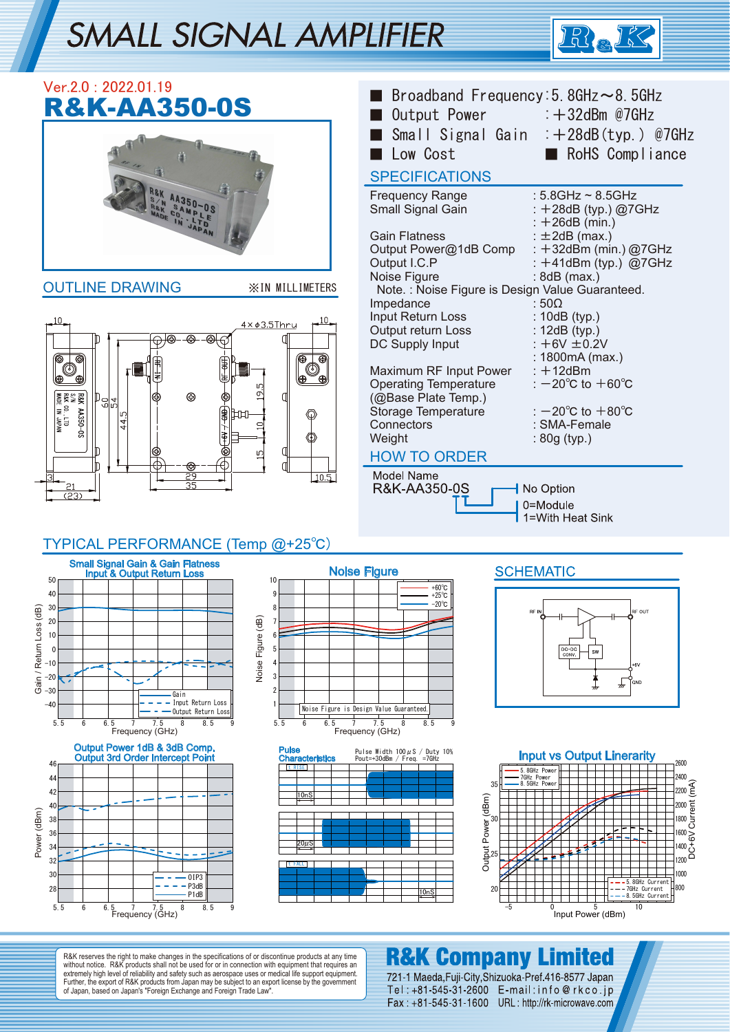# SMALL SIGNAL AMPLIFIER



| Ver.2.0: 2022.01.19<br><b>R&amp;K-AA350-0S</b>                                                                                                                                                                                                | Broadband Frequency: 5. 8GHz $\sim$ 8. 5GHz<br>Output Power : +32dBm @7GHz                                                                                                                                                     |                                                                                                                                                                                                                       |  |
|-----------------------------------------------------------------------------------------------------------------------------------------------------------------------------------------------------------------------------------------------|--------------------------------------------------------------------------------------------------------------------------------------------------------------------------------------------------------------------------------|-----------------------------------------------------------------------------------------------------------------------------------------------------------------------------------------------------------------------|--|
|                                                                                                                                                                                                                                               | Low Cost<br><b>SPECIFICATIONS</b>                                                                                                                                                                                              | Small Signal Gain : +28dB(typ.) @7GHz<br>RoHS Compliance                                                                                                                                                              |  |
|                                                                                                                                                                                                                                               | <b>Frequency Range</b><br>Small Signal Gain<br><b>Gain Flatness</b><br>Output Power@1dB Comp<br>Output I.C.P                                                                                                                   | : $5.8$ GHz ~ $8.5$ GHz<br>: +28dB (typ.) @7GHz<br>$: +26dB$ (min.)<br>$: \pm 2dB$ (max.)<br>: $+32$ dBm (min.) @7GHz<br>: $+41$ dBm (typ.) @7GHz                                                                     |  |
| <b>OUTLINE DRAWING</b><br><b>XIN MILLIMETERS</b>                                                                                                                                                                                              | Noise Figure<br>Note.: Noise Figure is Design Value Guaranteed.                                                                                                                                                                | $:8dB$ (max.)                                                                                                                                                                                                         |  |
| 10<br>$4 \times 63.5$ Thru<br>ጮ<br>ക<br>T.<br>க<br>Ð<br>0<br>(ව)<br>۳<br>σ<br><b>R&amp;K AA350-0S</b><br>SAM AA350-0S<br>R&K co., LTD<br><b>MADE IN JAPAN</b><br>⊛<br>$\mathbb{P}^{\mathbb{P}[\mathbb{P}]}$<br>€<br>Ŋ<br>LO<br><u>ම</u><br>29 | Impedance<br>Input Return Loss<br>Output return Loss<br>DC Supply Input<br>Maximum RF Input Power<br><b>Operating Temperature</b><br>(@Base Plate Temp.)<br>Storage Temperature<br>Connectors<br>Weight<br><b>HOW TO ORDER</b> | $:50\Omega$<br>$: 10dB$ (typ.)<br>: 12dB (typ.)<br>$: +6V \pm 0.2V$<br>: 1800mA (max.)<br>$: +12$ dBm<br>: $-20^{\circ}$ C to $+60^{\circ}$ C<br>: $-20^{\circ}$ C to $+80^{\circ}$ C<br>: SMA-Female<br>: 80g (typ.) |  |
| 10.5<br>35<br>$\overline{23}$                                                                                                                                                                                                                 | Model Name<br>R&K-AA350-0S                                                                                                                                                                                                     | No Option<br>0=Module<br>1=With Heat Sink                                                                                                                                                                             |  |
| TYPICAL PERFORMANCE (Temp @+25°C)                                                                                                                                                                                                             |                                                                                                                                                                                                                                |                                                                                                                                                                                                                       |  |
| <b>Small Signal Gain &amp; Gain Flatness</b><br><b>Input &amp; Output Return Loss</b><br>50<br>10<br>40<br>9                                                                                                                                  | <b>Noise Figure</b><br>$+60^{\circ}$ C<br>$+25^{\circ}$ C                                                                                                                                                                      | <b>SCHEMATIC</b>                                                                                                                                                                                                      |  |

#### 30  $\overline{AB}$ Gain / Return Loss (dB) 20 Gain / Return Loss 10  $\mathfrak{c}$  $-10$  $-20$ -30 Gain - Input Return Loss  $-40$ Ĭ.  $\overline{\phantom{a}}$  $\overline{\phantom{a}}$  -  $\overline{\phantom{a}}$  Output Return Loss 5.5 6 6.5 7 7.5 8 8.5 Frequency (GHz) Output Power 1dB & 3dB Comp. Output 3rd Order Intercept Point 46 44





t RISE

10nS

Pulse Characteristics

 $20\mu$ S

t FALL





R&K reserves the right to make changes in the specifications of or discontinue products at any time<br>without notice. R&K products shall not be used for or in connection with equipment that requires an<br>extremely high level o

#### **R&K Company Limited**

10nS

Pulse Width 100μS / Duty 10% Pout=+30dBm / Freq. =7GHz

721-1 Maeda, Fuji-City, Shizuoka-Pref 416-8577 Japan Tel: +81-545-31-2600 E-mail: info@rkco.jp Fax: +81-545-31-1600 URL: http://rk-microwave.com